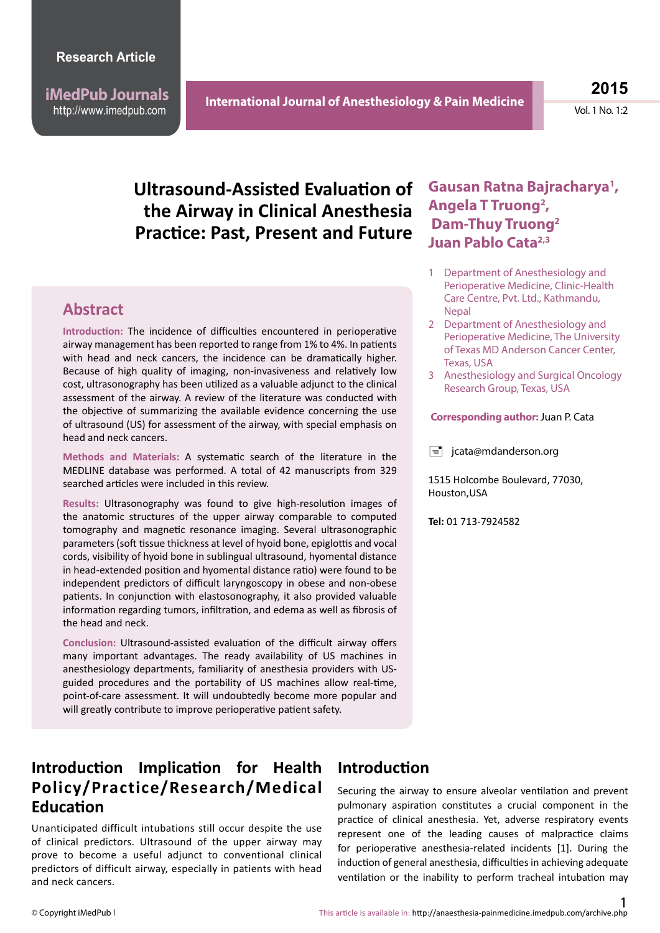**iMedPub Journals** http://www.imedpub.com

**2015**

Vol. 1 No. 1:2

# **Ultrasound-Assisted Evaluation of the Airway in Clinical Anesthesia Practice: Past, Present and Future**

#### **Abstract**

**Introduction:** The incidence of difficulties encountered in perioperative airway management has been reported to range from 1% to 4%. In patients with head and neck cancers, the incidence can be dramatically higher. Because of high quality of imaging, non-invasiveness and relatively low cost, ultrasonography has been utilized as a valuable adjunct to the clinical assessment of the airway. A review of the literature was conducted with the objective of summarizing the available evidence concerning the use of ultrasound (US) for assessment of the airway, with special emphasis on head and neck cancers.

**Methods and Materials:** A systematic search of the literature in the MEDLINE database was performed. A total of 42 manuscripts from 329 searched articles were included in this review.

**Results:** Ultrasonography was found to give high-resolution images of the anatomic structures of the upper airway comparable to computed tomography and magnetic resonance imaging. Several ultrasonographic parameters (soft tissue thickness at level of hyoid bone, epiglottis and vocal cords, visibility of hyoid bone in sublingual ultrasound, hyomental distance in head-extended position and hyomental distance ratio) were found to be independent predictors of difficult laryngoscopy in obese and non-obese patients. In conjunction with elastosonography, it also provided valuable information regarding tumors, infiltration, and edema as well as fibrosis of the head and neck.

**Conclusion:** Ultrasound-assisted evaluation of the difficult airway offers many important advantages. The ready availability of US machines in anesthesiology departments, familiarity of anesthesia providers with USguided procedures and the portability of US machines allow real-time, point-of-care assessment. It will undoubtedly become more popular and will greatly contribute to improve perioperative patient safety.

# **Introduction Implication for Health Policy/Practice/Research/Medical Education**

Unanticipated difficult intubations still occur despite the use of clinical predictors. Ultrasound of the upper airway may prove to become a useful adjunct to conventional clinical predictors of difficult airway, especially in patients with head and neck cancers.

## **Introduction**

Securing the airway to ensure alveolar ventilation and prevent pulmonary aspiration constitutes a crucial component in the practice of clinical anesthesia. Yet, adverse respiratory events represent one of the leading causes of malpractice claims for perioperative anesthesia-related incidents [1]. During the induction of general anesthesia, difficulties in achieving adequate ventilation or the inability to perform tracheal intubation may

### **Gausan Ratna Bajracharya1 , Angela T Truong2 , Dam-Thuy Truong2 Juan Pablo Cata2,3**

- 1 Department of Anesthesiology and Perioperative Medicine, Clinic-Health Care Centre, Pvt. Ltd., Kathmandu, **Nepal**
- 2 Department of Anesthesiology and Perioperative Medicine, The University of Texas MD Anderson Cancer Center, Texas, USA
- 3 Anesthesiology and Surgical Oncology Research Group, Texas, USA

#### **Corresponding author:** Juan P. Cata

 $\equiv$  jcata@mdanderson.org

1515 Holcombe Boulevard, 77030, Houston,USA

**Tel:** 01 713-7924582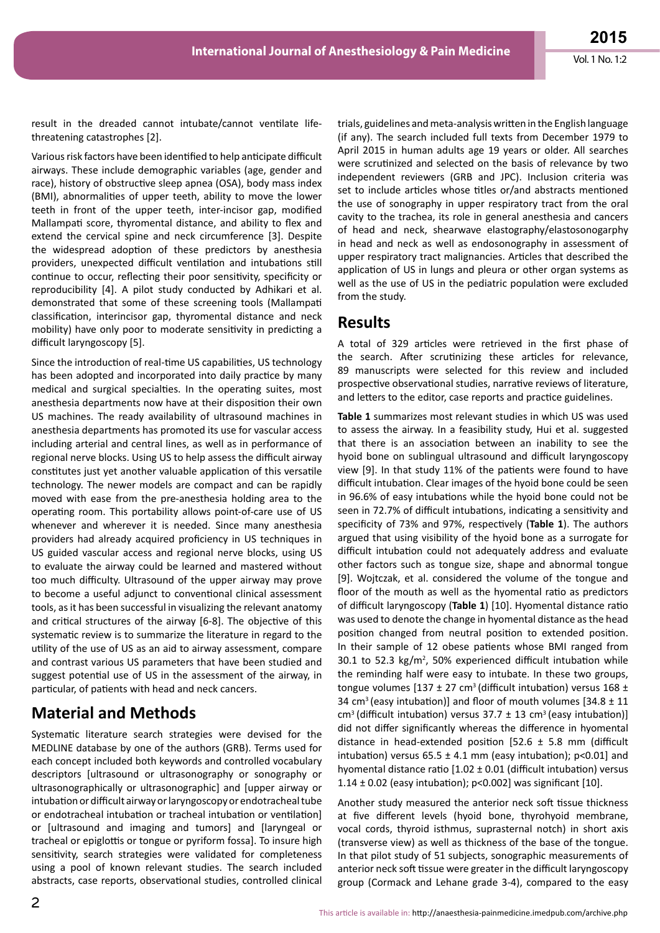result in the dreaded cannot intubate/cannot ventilate lifethreatening catastrophes [2].

Various risk factors have been identified to help anticipate difficult airways. These include demographic variables (age, gender and race), history of obstructive sleep apnea (OSA), body mass index (BMI), abnormalities of upper teeth, ability to move the lower teeth in front of the upper teeth, inter-incisor gap, modified Mallampati score, thyromental distance, and ability to flex and extend the cervical spine and neck circumference [3]. Despite the widespread adoption of these predictors by anesthesia providers, unexpected difficult ventilation and intubations still continue to occur, reflecting their poor sensitivity, specificity or reproducibility [4]. A pilot study conducted by Adhikari et al. demonstrated that some of these screening tools (Mallampati classification, interincisor gap, thyromental distance and neck mobility) have only poor to moderate sensitivity in predicting a difficult laryngoscopy [5].

Since the introduction of real-time US capabilities, US technology has been adopted and incorporated into daily practice by many medical and surgical specialties. In the operating suites, most anesthesia departments now have at their disposition their own US machines. The ready availability of ultrasound machines in anesthesia departments has promoted its use for vascular access including arterial and central lines, as well as in performance of regional nerve blocks. Using US to help assess the difficult airway constitutes just yet another valuable application of this versatile technology. The newer models are compact and can be rapidly moved with ease from the pre-anesthesia holding area to the operating room. This portability allows point-of-care use of US whenever and wherever it is needed. Since many anesthesia providers had already acquired proficiency in US techniques in US guided vascular access and regional nerve blocks, using US to evaluate the airway could be learned and mastered without too much difficulty. Ultrasound of the upper airway may prove to become a useful adjunct to conventional clinical assessment tools, as it has been successful in visualizing the relevant anatomy and critical structures of the airway [6-8]. The objective of this systematic review is to summarize the literature in regard to the utility of the use of US as an aid to airway assessment, compare and contrast various US parameters that have been studied and suggest potential use of US in the assessment of the airway, in particular, of patients with head and neck cancers.

# **Material and Methods**

Systematic literature search strategies were devised for the MEDLINE database by one of the authors (GRB). Terms used for each concept included both keywords and controlled vocabulary descriptors [ultrasound or ultrasonography or sonography or ultrasonographically or ultrasonographic] and [upper airway or intubation or difficult airway or laryngoscopy or endotracheal tube or endotracheal intubation or tracheal intubation or ventilation] or [ultrasound and imaging and tumors] and [laryngeal or tracheal or epiglottis or tongue or pyriform fossa]. To insure high sensitivity, search strategies were validated for completeness using a pool of known relevant studies. The search included abstracts, case reports, observational studies, controlled clinical trials, guidelines and meta-analysis written in the English language (if any). The search included full texts from December 1979 to April 2015 in human adults age 19 years or older. All searches were scrutinized and selected on the basis of relevance by two independent reviewers (GRB and JPC). Inclusion criteria was set to include articles whose titles or/and abstracts mentioned the use of sonography in upper respiratory tract from the oral cavity to the trachea, its role in general anesthesia and cancers of head and neck, shearwave elastography/elastosonogarphy in head and neck as well as endosonography in assessment of upper respiratory tract malignancies. Articles that described the application of US in lungs and pleura or other organ systems as well as the use of US in the pediatric population were excluded from the study.

### **Results**

A total of 329 articles were retrieved in the first phase of the search. After scrutinizing these articles for relevance, 89 manuscripts were selected for this review and included prospective observational studies, narrative reviews of literature, and letters to the editor, case reports and practice guidelines.

**Table 1** summarizes most relevant studies in which US was used to assess the airway. In a feasibility study, Hui et al. suggested that there is an association between an inability to see the hyoid bone on sublingual ultrasound and difficult laryngoscopy view [9]. In that study 11% of the patients were found to have difficult intubation. Clear images of the hyoid bone could be seen in 96.6% of easy intubations while the hyoid bone could not be seen in 72.7% of difficult intubations, indicating a sensitivity and specificity of 73% and 97%, respectively (**Table 1**). The authors argued that using visibility of the hyoid bone as a surrogate for difficult intubation could not adequately address and evaluate other factors such as tongue size, shape and abnormal tongue [9]. Wojtczak, et al. considered the volume of the tongue and floor of the mouth as well as the hyomental ratio as predictors of difficult laryngoscopy (**Table 1**) [10]. Hyomental distance ratio was used to denote the change in hyomental distance as the head position changed from neutral position to extended position. In their sample of 12 obese patients whose BMI ranged from 30.1 to 52.3  $kg/m^2$ , 50% experienced difficult intubation while the reminding half were easy to intubate. In these two groups, tongue volumes  $[137 \pm 27 \text{ cm}^3]$  (difficult intubation) versus  $168 \pm 16$ 34 cm<sup>3</sup> (easy intubation)] and floor of mouth volumes  $[34.8 \pm 11]$ cm<sup>3</sup> (difficult intubation) versus  $37.7 \pm 13$  cm<sup>3</sup> (easy intubation)] did not differ significantly whereas the difference in hyomental distance in head-extended position  $[52.6 \pm 5.8 \, \text{mm}]$  (difficult intubation) versus  $65.5 \pm 4.1$  mm (easy intubation); p<0.01] and hyomental distance ratio  $[1.02 \pm 0.01$  (difficult intubation) versus 1.14  $\pm$  0.02 (easy intubation); p<0.002] was significant [10].

Another study measured the anterior neck soft tissue thickness at five different levels (hyoid bone, thyrohyoid membrane, vocal cords, thyroid isthmus, suprasternal notch) in short axis (transverse view) as well as thickness of the base of the tongue. In that pilot study of 51 subjects, sonographic measurements of anterior neck soft tissue were greater in the difficult laryngoscopy group (Cormack and Lehane grade 3-4), compared to the easy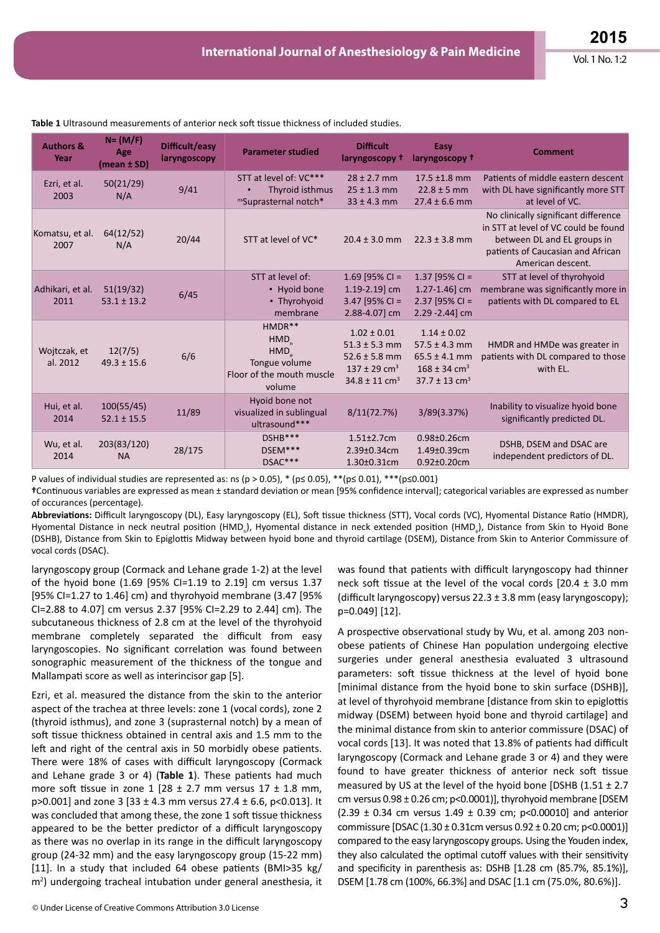| <b>Authors &amp;</b><br>Year | $N = (M/F)$<br>Age<br>(mean ± SD) | Difficult/easy<br>laryngoscopy | <b>Parameter studied</b>                                                              | <b>Difficult</b><br>laryngoscopy t                                                                                         | Easy<br>laryngoscopy +                                                                                                     | <b>Comment</b>                                                                                                                                                        |
|------------------------------|-----------------------------------|--------------------------------|---------------------------------------------------------------------------------------|----------------------------------------------------------------------------------------------------------------------------|----------------------------------------------------------------------------------------------------------------------------|-----------------------------------------------------------------------------------------------------------------------------------------------------------------------|
| Ezri, et al.<br>2003         | 50(21/29)<br>N/A                  | 9/41                           | STT at level of: VC***<br>Thyroid isthmus<br>nsSuprasternal notch*                    | $28 \pm 2.7$ mm<br>$25 \pm 1.3$ mm<br>$33 \pm 4.3$ mm                                                                      | $17.5 \pm 1.8 \text{ mm}$<br>$22.8 \pm 5$ mm<br>$27.4 \pm 6.6$ mm                                                          | Patients of middle eastern descent<br>with DL have significantly more STT<br>at level of VC.                                                                          |
| Komatsu, et al.<br>2007      | 64(12/52)<br>N/A                  | 20/44                          | STT at level of VC*                                                                   | $20.4 \pm 3.0$ mm                                                                                                          | $22.3 \pm 3.8$ mm                                                                                                          | No clinically significant difference<br>in STT at level of VC could be found<br>between DL and EL groups in<br>patients of Caucasian and African<br>American descent. |
| Adhikari, et al.<br>2011     | 51(19/32)<br>$53.1 \pm 13.2$      | 6/45                           | STT at level of:<br>• Hyoid bone<br>• Thyrohyoid<br>membrane                          | 1.69 [95% CI =<br>1.19-2.19] cm<br>$3.47$ [95% CI =<br>2.88-4.07] cm                                                       | 1.37 [95% CI =<br>$1.27 - 1.46$ ] cm<br>$2.37$ [95% CI =<br>$2.29 - 2.44$ ] cm                                             | STT at level of thyrohyoid<br>membrane was significantly more in<br>patients with DL compared to EL                                                                   |
| Wojtczak, et<br>al. 2012     | 12(7/5)<br>$49.3 \pm 15.6$        | 6/6                            | $HMDR**$<br><b>HMD</b><br>HMD<br>Tongue volume<br>Floor of the mouth muscle<br>volume | $1.02 \pm 0.01$<br>$51.3 \pm 5.3$ mm<br>$52.6 \pm 5.8$ mm<br>$137 \pm 29$ cm <sup>3</sup><br>$34.8 \pm 11$ cm <sup>3</sup> | $1.14 \pm 0.02$<br>$57.5 \pm 4.3$ mm<br>$65.5 \pm 4.1$ mm<br>$168 \pm 34$ cm <sup>3</sup><br>$37.7 \pm 13$ cm <sup>3</sup> | HMDR and HMDe was greater in<br>patients with DL compared to those<br>with EL.                                                                                        |
| Hui, et al.<br>2014          | 100(55/45)<br>$52.1 \pm 15.5$     | 11/89                          | Hyoid bone not<br>visualized in sublingual<br>ultrasound***                           | 8/11(72.7%)                                                                                                                | 3/89(3.37%)                                                                                                                | Inability to visualize hyoid bone<br>significantly predicted DL.                                                                                                      |
| Wu, et al.<br>2014           | 203(83/120)<br><b>NA</b>          | 28/175                         | DSHB***<br>DSEM***<br>DSAC***                                                         | $1.51 \pm 2.7$ cm<br>2.39±0.34cm<br>$1.30 \pm 0.31$ cm                                                                     | $0.98 \pm 0.26$ cm<br>$1.49 \pm 0.39$ cm<br>$0.92 \pm 0.20$ cm                                                             | DSHB, DSEM and DSAC are<br>independent predictors of DL.                                                                                                              |

**Table 1** Ultrasound measurements of anterior neck soft tissue thickness of included studies.

P values of individual studies are represented as: ns (p > 0.05), \* (p ≤ 0.05), \*\*(p ≤ 0.01), \*\*\*(p ≤ 0.001)

**†**Continuous variables are expressed as mean ± standard deviation or mean [95% confidence interval]; categorical variables are expressed as number of occurances (percentage).

**Abbreviations:** Difficult laryngoscopy (DL), Easy laryngoscopy (EL), Soft tissue thickness (STT), Vocal cords (VC), Hyomental Distance Ratio (HMDR), Hyomental Distance in neck neutral position (HMD<sub>n</sub>), Hyomental distance in neck extended position (HMD<sub>e</sub>), Distance from Skin to Hyoid Bone (DSHB), Distance from Skin to Epiglottis Midway between hyoid bone and thyroid cartilage (DSEM), Distance from Skin to Anterior Commissure of vocal cords (DSAC).

laryngoscopy group (Cormack and Lehane grade 1-2) at the level of the hyoid bone (1.69 [95% CI=1.19 to 2.19] cm versus 1.37 [95% CI=1.27 to 1.46] cm) and thyrohyoid membrane (3.47 [95% CI=2.88 to 4.07] cm versus 2.37 [95% CI=2.29 to 2.44] cm). The subcutaneous thickness of 2.8 cm at the level of the thyrohyoid membrane completely separated the difficult from easy laryngoscopies. No significant correlation was found between sonographic measurement of the thickness of the tongue and Mallampati score as well as interincisor gap [5].

Ezri, et al. measured the distance from the skin to the anterior aspect of the trachea at three levels: zone 1 (vocal cords), zone 2 (thyroid isthmus), and zone 3 (suprasternal notch) by a mean of soft tissue thickness obtained in central axis and 1.5 mm to the left and right of the central axis in 50 morbidly obese patients. There were 18% of cases with difficult laryngoscopy (Cormack and Lehane grade 3 or 4) (**Table 1**). These patients had much more soft tissue in zone  $1$  [28  $\pm$  2.7 mm versus  $17 \pm 1.8$  mm, p>0.001] and zone 3 [33 ± 4.3 mm versus 27.4 ± 6.6, p<0.013]. It was concluded that among these, the zone 1 soft tissue thickness appeared to be the better predictor of a difficult laryngoscopy as there was no overlap in its range in the difficult laryngoscopy group (24-32 mm) and the easy laryngoscopy group (15-22 mm) [11]. In a study that included 64 obese patients (BMI>35 kg/ m<sup>2</sup>) undergoing tracheal intubation under general anesthesia, it

was found that patients with difficult laryngoscopy had thinner neck soft tissue at the level of the vocal cords  $[20.4 \pm 3.0 \text{ mm}]$ (difficult laryngoscopy) versus  $22.3 \pm 3.8$  mm (easy laryngoscopy); p=0.049] [12].

A prospective observational study by Wu, et al. among 203 nonobese patients of Chinese Han population undergoing elective surgeries under general anesthesia evaluated 3 ultrasound parameters: soft tissue thickness at the level of hyoid bone [minimal distance from the hyoid bone to skin surface (DSHB)], at level of thyrohyoid membrane [distance from skin to epiglottis midway (DSEM) between hyoid bone and thyroid cartilage] and the minimal distance from skin to anterior commissure (DSAC) of vocal cords [13]. It was noted that 13.8% of patients had difficult laryngoscopy (Cormack and Lehane grade 3 or 4) and they were found to have greater thickness of anterior neck soft tissue measured by US at the level of the hyoid bone [DSHB  $(1.51 \pm 2.7)$ cm versus 0.98 ± 0.26 cm; p<0.0001)], thyrohyoid membrane [DSEM  $(2.39 \pm 0.34 \, \text{cm}$  versus 1.49  $\pm$  0.39 cm; p<0.00010] and anterior commissure [DSAC (1.30 ± 0.31cm versus 0.92 ± 0.20 cm; p<0.0001)] compared to the easy laryngoscopy groups. Using the Youden index, they also calculated the optimal cutoff values with their sensitivity and specificity in parenthesis as: DSHB [1.28 cm (85.7%, 85.1%)], DSEM [1.78 cm (100%, 66.3%] and DSAC [1.1 cm (75.0%, 80.6%)].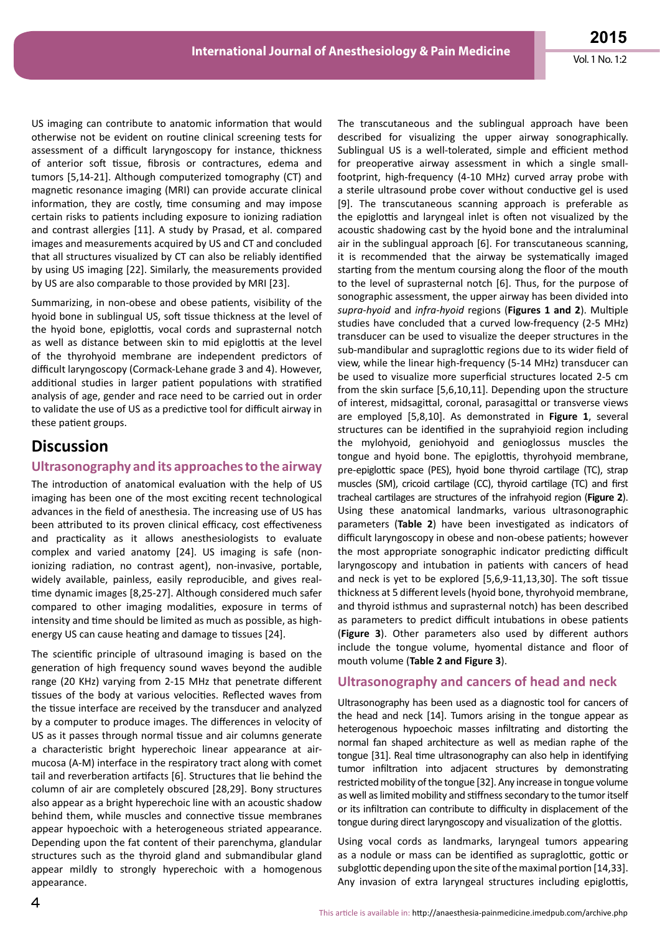US imaging can contribute to anatomic information that would otherwise not be evident on routine clinical screening tests for assessment of a difficult laryngoscopy for instance, thickness of anterior soft tissue, fibrosis or contractures, edema and tumors [5,14-21]. Although computerized tomography (CT) and magnetic resonance imaging (MRI) can provide accurate clinical information, they are costly, time consuming and may impose certain risks to patients including exposure to ionizing radiation and contrast allergies [11]. A study by Prasad, et al. compared images and measurements acquired by US and CT and concluded that all structures visualized by CT can also be reliably identified by using US imaging [22]. Similarly, the measurements provided by US are also comparable to those provided by MRI [23].

Summarizing, in non-obese and obese patients, visibility of the hyoid bone in sublingual US, soft tissue thickness at the level of the hyoid bone, epiglottis, vocal cords and suprasternal notch as well as distance between skin to mid epiglottis at the level of the thyrohyoid membrane are independent predictors of difficult laryngoscopy (Cormack-Lehane grade 3 and 4). However, additional studies in larger patient populations with stratified analysis of age, gender and race need to be carried out in order to validate the use of US as a predictive tool for difficult airway in these patient groups.

#### **Discussion**

#### **Ultrasonography and its approaches to the airway**

The introduction of anatomical evaluation with the help of US imaging has been one of the most exciting recent technological advances in the field of anesthesia. The increasing use of US has been attributed to its proven clinical efficacy, cost effectiveness and practicality as it allows anesthesiologists to evaluate complex and varied anatomy [24]. US imaging is safe (nonionizing radiation, no contrast agent), non-invasive, portable, widely available, painless, easily reproducible, and gives realtime dynamic images [8,25-27]. Although considered much safer compared to other imaging modalities, exposure in terms of intensity and time should be limited as much as possible, as highenergy US can cause heating and damage to tissues [24].

The scientific principle of ultrasound imaging is based on the generation of high frequency sound waves beyond the audible range (20 KHz) varying from 2-15 MHz that penetrate different tissues of the body at various velocities. Reflected waves from the tissue interface are received by the transducer and analyzed by a computer to produce images. The differences in velocity of US as it passes through normal tissue and air columns generate a characteristic bright hyperechoic linear appearance at airmucosa (A-M) interface in the respiratory tract along with comet tail and reverberation artifacts [6]. Structures that lie behind the column of air are completely obscured [28,29]. Bony structures also appear as a bright hyperechoic line with an acoustic shadow behind them, while muscles and connective tissue membranes appear hypoechoic with a heterogeneous striated appearance. Depending upon the fat content of their parenchyma, glandular structures such as the thyroid gland and submandibular gland appear mildly to strongly hyperechoic with a homogenous appearance.

The transcutaneous and the sublingual approach have been described for visualizing the upper airway sonographically. Sublingual US is a well-tolerated, simple and efficient method for preoperative airway assessment in which a single smallfootprint, high-frequency (4-10 MHz) curved array probe with a sterile ultrasound probe cover without conductive gel is used [9]. The transcutaneous scanning approach is preferable as the epiglottis and laryngeal inlet is often not visualized by the acoustic shadowing cast by the hyoid bone and the intraluminal air in the sublingual approach [6]. For transcutaneous scanning, it is recommended that the airway be systematically imaged starting from the mentum coursing along the floor of the mouth to the level of suprasternal notch [6]. Thus, for the purpose of sonographic assessment, the upper airway has been divided into *supra-hyoid* and *infra-hyoid* regions (**Figures 1 and 2**). Multiple studies have concluded that a curved low-frequency (2-5 MHz) transducer can be used to visualize the deeper structures in the sub-mandibular and supraglottic regions due to its wider field of view, while the linear high-frequency (5-14 MHz) transducer can be used to visualize more superficial structures located 2-5 cm from the skin surface [5,6,10,11]. Depending upon the structure of interest, midsagittal, coronal, parasagittal or transverse views are employed [5,8,10]. As demonstrated in **Figure 1**, several structures can be identified in the suprahyioid region including the mylohyoid, geniohyoid and genioglossus muscles the tongue and hyoid bone. The epiglottis, thyrohyoid membrane, pre-epiglottic space (PES), hyoid bone thyroid cartilage (TC), strap muscles (SM), cricoid cartilage (CC), thyroid cartilage (TC) and first tracheal cartilages are structures of the infrahyoid region (**Figure 2**). Using these anatomical landmarks, various ultrasonographic parameters (**Table 2**) have been investigated as indicators of difficult laryngoscopy in obese and non-obese patients; however the most appropriate sonographic indicator predicting difficult laryngoscopy and intubation in patients with cancers of head and neck is yet to be explored [5,6,9-11,13,30]. The soft tissue thickness at 5 different levels (hyoid bone, thyrohyoid membrane, and thyroid isthmus and suprasternal notch) has been described as parameters to predict difficult intubations in obese patients (**Figure 3**). Other parameters also used by different authors include the tongue volume, hyomental distance and floor of mouth volume (**Table 2 and Figure 3**).

#### **Ultrasonography and cancers of head and neck**

Ultrasonography has been used as a diagnostic tool for cancers of the head and neck [14]. Tumors arising in the tongue appear as heterogenous hypoechoic masses infiltrating and distorting the normal fan shaped architecture as well as median raphe of the tongue [31]. Real time ultrasonography can also help in identifying tumor infiltration into adjacent structures by demonstrating restricted mobility of the tongue [32]. Any increase in tongue volume as well as limited mobility and stiffness secondary to the tumor itself or its infiltration can contribute to difficulty in displacement of the tongue during direct laryngoscopy and visualization of the glottis.

Using vocal cords as landmarks, laryngeal tumors appearing as a nodule or mass can be identified as supraglottic, gottic or subglottic depending upon the site of the maximal portion [14,33]. Any invasion of extra laryngeal structures including epiglottis,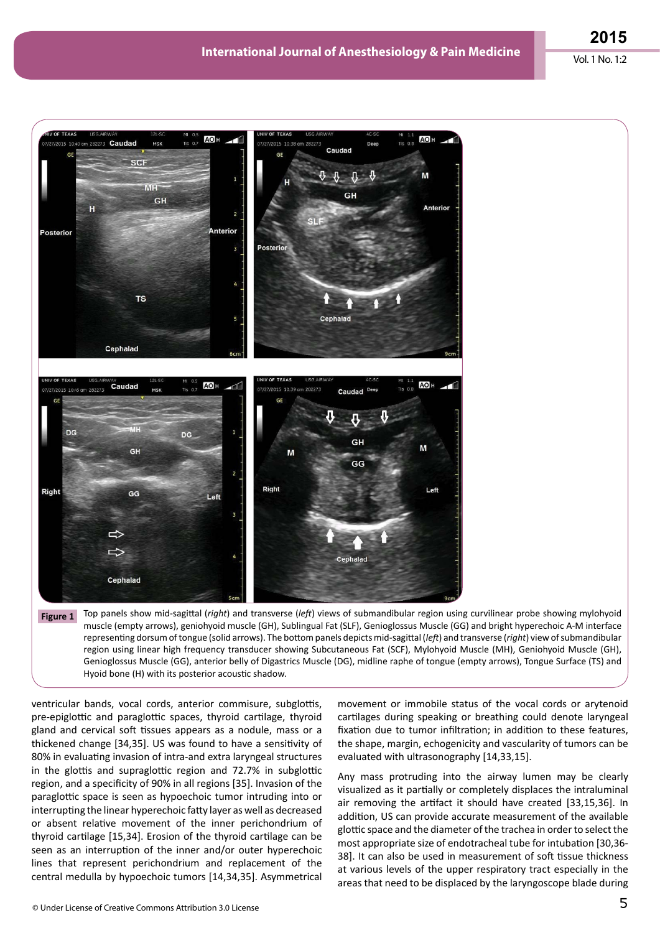



ventricular bands, vocal cords, anterior commisure, subglottis, pre-epiglottic and paraglottic spaces, thyroid cartilage, thyroid gland and cervical soft tissues appears as a nodule, mass or a thickened change [34,35]. US was found to have a sensitivity of 80% in evaluating invasion of intra-and extra laryngeal structures in the glottis and supraglottic region and 72.7% in subglottic region, and a specificity of 90% in all regions [35]. Invasion of the paraglottic space is seen as hypoechoic tumor intruding into or interrupting the linear hyperechoic fatty layer as well as decreased or absent relative movement of the inner perichondrium of thyroid cartilage [15,34]. Erosion of the thyroid cartilage can be seen as an interruption of the inner and/or outer hyperechoic lines that represent perichondrium and replacement of the central medulla by hypoechoic tumors [14,34,35]. Asymmetrical

movement or immobile status of the vocal cords or arytenoid cartilages during speaking or breathing could denote laryngeal fixation due to tumor infiltration; in addition to these features, the shape, margin, echogenicity and vascularity of tumors can be evaluated with ultrasonography [14,33,15].

Any mass protruding into the airway lumen may be clearly visualized as it partially or completely displaces the intraluminal air removing the artifact it should have created [33,15,36]. In addition, US can provide accurate measurement of the available glottic space and the diameter of the trachea in order to select the most appropriate size of endotracheal tube for intubation [30,36- 38]. It can also be used in measurement of soft tissue thickness at various levels of the upper respiratory tract especially in the areas that need to be displaced by the laryngoscope blade during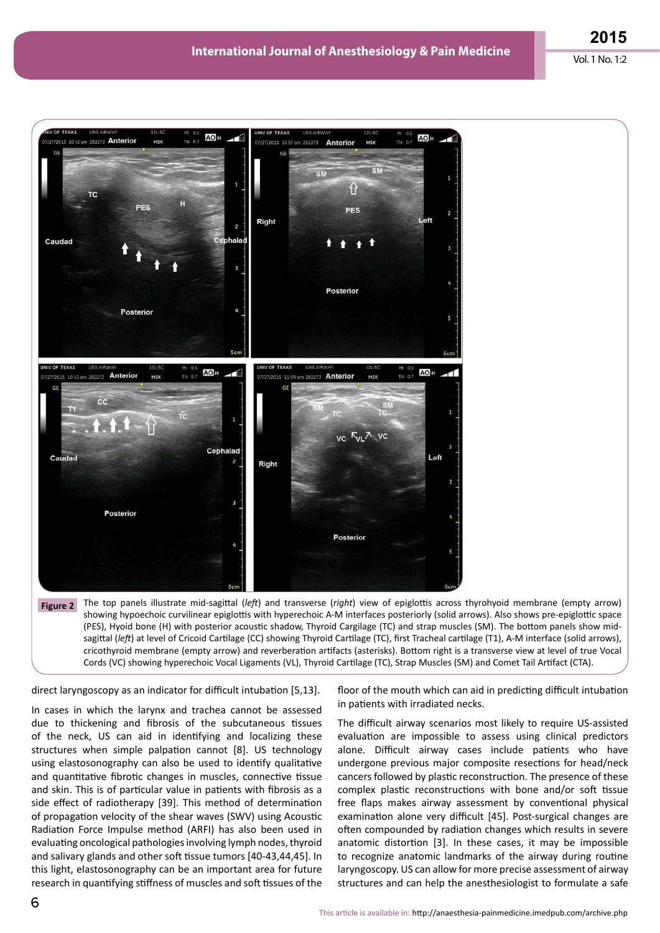

showing hypoechoic curvilinear epiglottis with hyperechoic A-M interfaces posteriorly (solid arrows). Also shows pre-epiglottic space (PES), Hyoid bone (H) with posterior acoustic shadow, Thyroid Cargilage (TC) and strap muscles (SM). The bottom panels show midsagittal (left) at level of Cricoid Cartilage (CC) showing Thyroid Cartilage (TC), first Tracheal cartilage (T1), A-M interface (solid arrows), cricothyroid membrane (empty arrow) and reverberation artifacts (asterisks). Bottom right is a transverse view at level of true Vocal Cords (VC) showing hyperechoic Vocal Ligaments (VL), Thyroid Cartilage (TC), Strap Muscles (SM) and Comet Tail Artifact (CTA).

direct laryngoscopy as an indicator for difficult intubation [5,13].

In cases in which the larynx and trachea cannot be assessed due to thickening and fibrosis of the subcutaneous tissues of the neck, US can aid in identifying and localizing these structures when simple palpation cannot [8]. US technology using elastosonography can also be used to identify qualitative and quantitative fibrotic changes in muscles, connective tissue and skin. This is of particular value in patients with fibrosis as a side effect of radiotherapy [39]. This method of determination of propagation velocity of the shear waves (SWV) using Acoustic Radiation Force Impulse method (ARFI) has also been used in evaluating oncological pathologies involving lymph nodes, thyroid and salivary glands and other soft tissue tumors [40-43,44,45]. In this light, elastosonography can be an important area for future research in quantifying stiffness of muscles and soft tissues of the

floor of the mouth which can aid in predicting difficult intubation in patients with irradiated necks.

The difficult airway scenarios most likely to require US-assisted evaluation are impossible to assess using clinical predictors alone. Difficult airway cases include patients who have undergone previous major composite resections for head/neck cancers followed by plastic reconstruction. The presence of these complex plastic reconstructions with bone and/or soft tissue free flaps makes airway assessment by conventional physical examination alone very difficult [45]. Post-surgical changes are often compounded by radiation changes which results in severe anatomic distortion [3]. In these cases, it may be impossible to recognize anatomic landmarks of the airway during routine laryngoscopy. US can allow for more precise assessment of airway structures and can help the anesthesiologist to formulate a safe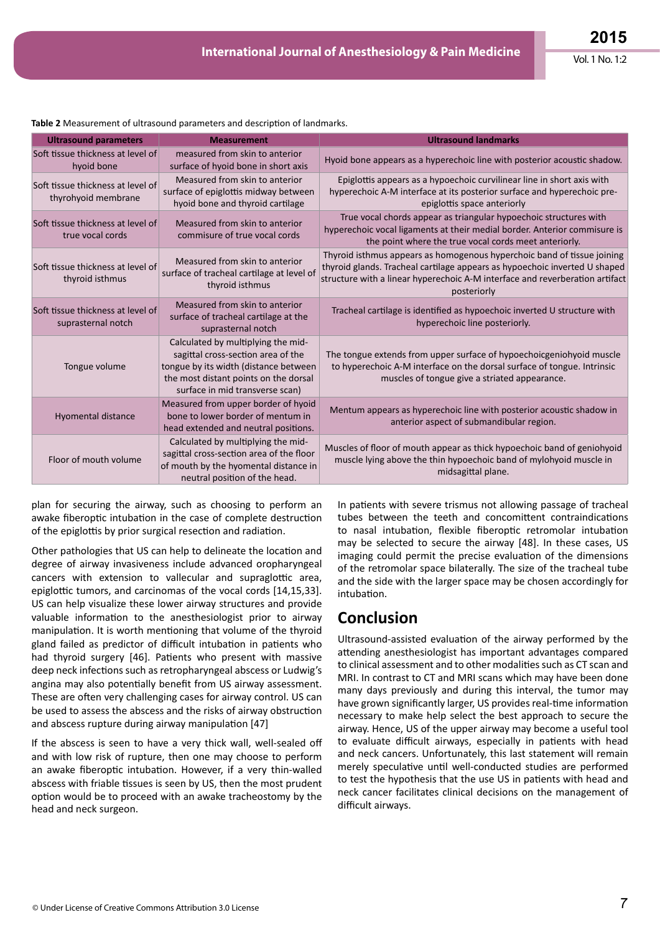| <b>Table 2</b> Ivieasurement of unifasound parameters and description of familiarks. |                                                                                                                                                                                               |                                                                                                                                                                                                                                                      |  |  |  |  |  |
|--------------------------------------------------------------------------------------|-----------------------------------------------------------------------------------------------------------------------------------------------------------------------------------------------|------------------------------------------------------------------------------------------------------------------------------------------------------------------------------------------------------------------------------------------------------|--|--|--|--|--|
| <b>Ultrasound parameters</b>                                                         | <b>Measurement</b>                                                                                                                                                                            | <b>Ultrasound landmarks</b>                                                                                                                                                                                                                          |  |  |  |  |  |
| Soft tissue thickness at level of<br>hyoid bone                                      | measured from skin to anterior<br>surface of hyoid bone in short axis                                                                                                                         | Hyoid bone appears as a hyperechoic line with posterior acoustic shadow.                                                                                                                                                                             |  |  |  |  |  |
| Soft tissue thickness at level of<br>thyrohyoid membrane                             | Measured from skin to anterior<br>surface of epiglottis midway between<br>hyoid bone and thyroid cartilage                                                                                    | Epiglottis appears as a hypoechoic curvilinear line in short axis with<br>hyperechoic A-M interface at its posterior surface and hyperechoic pre-<br>epiglottis space anteriorly                                                                     |  |  |  |  |  |
| Soft tissue thickness at level of<br>true vocal cords                                | Measured from skin to anterior<br>commisure of true vocal cords                                                                                                                               | True vocal chords appear as triangular hypoechoic structures with<br>hyperechoic vocal ligaments at their medial border. Anterior commisure is<br>the point where the true vocal cords meet anteriorly.                                              |  |  |  |  |  |
| Soft tissue thickness at level of<br>thyroid isthmus                                 | Measured from skin to anterior<br>surface of tracheal cartilage at level of<br>thyroid isthmus                                                                                                | Thyroid isthmus appears as homogenous hyperchoic band of tissue joining<br>thyroid glands. Tracheal cartilage appears as hypoechoic inverted U shaped<br>structure with a linear hyperechoic A-M interface and reverberation artifact<br>posteriorly |  |  |  |  |  |
| Soft tissue thickness at level of<br>suprasternal notch                              | Measured from skin to anterior<br>surface of tracheal cartilage at the<br>suprasternal notch                                                                                                  | Tracheal cartilage is identified as hypoechoic inverted U structure with<br>hyperechoic line posteriorly.                                                                                                                                            |  |  |  |  |  |
| Tongue volume                                                                        | Calculated by multiplying the mid-<br>sagittal cross-section area of the<br>tongue by its width (distance between<br>the most distant points on the dorsal<br>surface in mid transverse scan) | The tongue extends from upper surface of hypoechoicgeniohyoid muscle<br>to hyperechoic A-M interface on the dorsal surface of tongue. Intrinsic<br>muscles of tongue give a striated appearance.                                                     |  |  |  |  |  |
| <b>Hyomental distance</b>                                                            | Measured from upper border of hyoid<br>bone to lower border of mentum in<br>head extended and neutral positions.                                                                              | Mentum appears as hyperechoic line with posterior acoustic shadow in<br>anterior aspect of submandibular region.                                                                                                                                     |  |  |  |  |  |
| Floor of mouth volume                                                                | Calculated by multiplying the mid-<br>sagittal cross-section area of the floor<br>of mouth by the hyomental distance in<br>neutral position of the head.                                      | Muscles of floor of mouth appear as thick hypoechoic band of geniohyoid<br>muscle lying above the thin hypoechoic band of mylohyoid muscle in<br>midsagittal plane.                                                                                  |  |  |  |  |  |

plan for securing the airway, such as choosing to perform an awake fiberoptic intubation in the case of complete destruction of the epiglottis by prior surgical resection and radiation.

Other pathologies that US can help to delineate the location and degree of airway invasiveness include advanced oropharyngeal cancers with extension to vallecular and supraglottic area, epiglottic tumors, and carcinomas of the vocal cords [14,15,33]. US can help visualize these lower airway structures and provide valuable information to the anesthesiologist prior to airway manipulation. It is worth mentioning that volume of the thyroid gland failed as predictor of difficult intubation in patients who had thyroid surgery [46]. Patients who present with massive deep neck infections such as retropharyngeal abscess or Ludwig's angina may also potentially benefit from US airway assessment. These are often very challenging cases for airway control. US can be used to assess the abscess and the risks of airway obstruction and abscess rupture during airway manipulation [47]

If the abscess is seen to have a very thick wall, well-sealed off and with low risk of rupture, then one may choose to perform an awake fiberoptic intubation. However, if a very thin-walled abscess with friable tissues is seen by US, then the most prudent option would be to proceed with an awake tracheostomy by the head and neck surgeon.

In patients with severe trismus not allowing passage of tracheal tubes between the teeth and concomittent contraindications to nasal intubation, flexible fiberoptic retromolar intubation may be selected to secure the airway [48]. In these cases, US imaging could permit the precise evaluation of the dimensions of the retromolar space bilaterally. The size of the tracheal tube and the side with the larger space may be chosen accordingly for intubation.

### **Conclusion**

Ultrasound-assisted evaluation of the airway performed by the attending anesthesiologist has important advantages compared to clinical assessment and to other modalities such as CT scan and MRI. In contrast to CT and MRI scans which may have been done many days previously and during this interval, the tumor may have grown significantly larger, US provides real-time information necessary to make help select the best approach to secure the airway. Hence, US of the upper airway may become a useful tool to evaluate difficult airways, especially in patients with head and neck cancers. Unfortunately, this last statement will remain merely speculative until well-conducted studies are performed to test the hypothesis that the use US in patients with head and neck cancer facilitates clinical decisions on the management of difficult airways.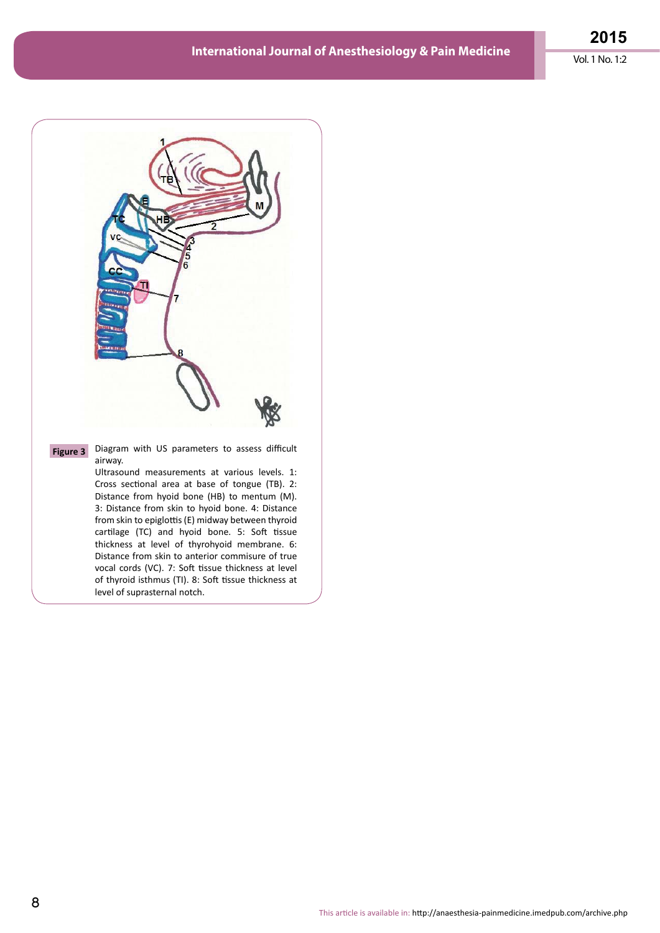**2015** Vol. 1 No. 1:2



**Figure 3** Diagram with US parameters to assess difficult airway.

> Ultrasound measurements at various levels. 1: Cross sectional area at base of tongue (TB). 2: Distance from hyoid bone (HB) to mentum (M). 3: Distance from skin to hyoid bone. 4: Distance from skin to epiglottis (E) midway between thyroid cartilage (TC) and hyoid bone. 5: Soft tissue thickness at level of thyrohyoid membrane. 6: Distance from skin to anterior commisure of true vocal cords (VC). 7: Soft tissue thickness at level of thyroid isthmus (TI). 8: Soft tissue thickness at level of suprasternal notch.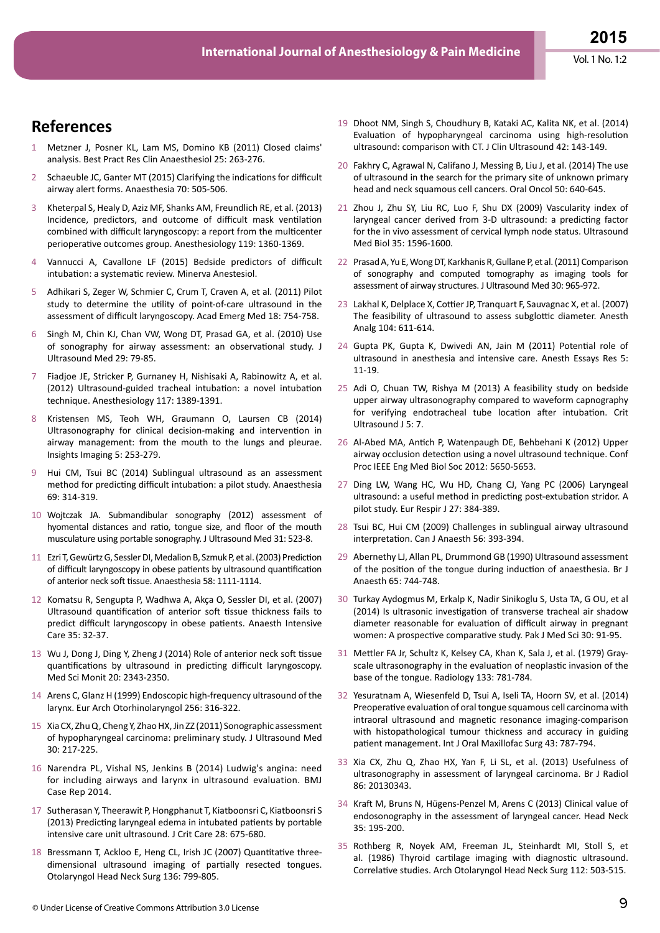# **References**

- 1 Metzner J, Posner KL, Lam MS, Domino KB (2011) Closed claims' analysis. Best Pract Res Clin Anaesthesiol 25: 263-276.
- 2 Schaeuble JC, Ganter MT (2015) Clarifying the indications for difficult airway alert forms. Anaesthesia 70: 505-506.
- 3 Kheterpal S, Healy D, Aziz MF, Shanks AM, Freundlich RE, et al. (2013) Incidence, predictors, and outcome of difficult mask ventilation combined with difficult laryngoscopy: a report from the multicenter perioperative outcomes group. Anesthesiology 119: 1360-1369.
- 4 Vannucci A, Cavallone LF (2015) Bedside predictors of difficult intubation: a systematic review. Minerva Anestesiol.
- 5 Adhikari S, Zeger W, Schmier C, Crum T, Craven A, et al. (2011) Pilot study to determine the utility of point-of-care ultrasound in the assessment of difficult laryngoscopy. Acad Emerg Med 18: 754-758.
- 6 Singh M, Chin KJ, Chan VW, Wong DT, Prasad GA, et al. (2010) Use of sonography for airway assessment: an observational study. J Ultrasound Med 29: 79-85.
- 7 Fiadjoe JE, Stricker P, Gurnaney H, Nishisaki A, Rabinowitz A, et al. (2012) Ultrasound-guided tracheal intubation: a novel intubation technique. Anesthesiology 117: 1389-1391.
- 8 Kristensen MS, Teoh WH, Graumann O, Laursen CB (2014) Ultrasonography for clinical decision-making and intervention in airway management: from the mouth to the lungs and pleurae. Insights Imaging 5: 253-279.
- 9 Hui CM, Tsui BC (2014) Sublingual ultrasound as an assessment method for predicting difficult intubation: a pilot study. Anaesthesia 69: 314-319.
- 10 Wojtczak JA. Submandibular sonography (2012) assessment of hyomental distances and ratio, tongue size, and floor of the mouth musculature using portable sonography. J Ultrasound Med 31: 523-8.
- 11 Ezri T, Gewürtz G, Sessler DI, Medalion B, Szmuk P, et al. (2003) Prediction of difficult laryngoscopy in obese patients by ultrasound quantification of anterior neck soft tissue. Anaesthesia 58: 1111-1114.
- 12 Komatsu R, Sengupta P, Wadhwa A, Akça O, Sessler DI, et al. (2007) Ultrasound quantification of anterior soft tissue thickness fails to predict difficult laryngoscopy in obese patients. Anaesth Intensive Care 35: 32-37.
- 13 Wu J, Dong J, Ding Y, Zheng J (2014) Role of anterior neck soft tissue quantifications by ultrasound in predicting difficult laryngoscopy. Med Sci Monit 20: 2343-2350.
- 14 Arens C, Glanz H (1999) Endoscopic high-frequency ultrasound of the larynx. Eur Arch Otorhinolaryngol 256: 316-322.
- 15 Xia CX, Zhu Q, Cheng Y, Zhao HX, Jin ZZ (2011) Sonographic assessment of hypopharyngeal carcinoma: preliminary study. J Ultrasound Med 30: 217-225.
- 16 Narendra PL, Vishal NS, Jenkins B (2014) Ludwig's angina: need for including airways and larynx in ultrasound evaluation. BMJ Case Rep 2014.
- 17 Sutherasan Y, Theerawit P, Hongphanut T, Kiatboonsri C, Kiatboonsri S (2013) Predicting laryngeal edema in intubated patients by portable intensive care unit ultrasound. J Crit Care 28: 675-680.
- 18 Bressmann T, Ackloo E, Heng CL, Irish JC (2007) Quantitative threedimensional ultrasound imaging of partially resected tongues. Otolaryngol Head Neck Surg 136: 799-805.
- 19 Dhoot NM, Singh S, Choudhury B, Kataki AC, Kalita NK, et al. (2014) Evaluation of hypopharyngeal carcinoma using high-resolution ultrasound: comparison with CT. J Clin Ultrasound 42: 143-149.
- 20 Fakhry C, Agrawal N, Califano J, Messing B, Liu J, et al. (2014) The use of ultrasound in the search for the primary site of unknown primary head and neck squamous cell cancers. Oral Oncol 50: 640-645.
- 21 Zhou J, Zhu SY, Liu RC, Luo F, Shu DX (2009) Vascularity index of laryngeal cancer derived from 3-D ultrasound: a predicting factor for the in vivo assessment of cervical lymph node status. Ultrasound Med Biol 35: 1596-1600.
- 22 Prasad A, Yu E, Wong DT, Karkhanis R, Gullane P, et al. (2011) Comparison of sonography and computed tomography as imaging tools for assessment of airway structures. J Ultrasound Med 30: 965-972.
- 23 Lakhal K, Delplace X, Cottier JP, Tranquart F, Sauvagnac X, et al. (2007) The feasibility of ultrasound to assess subglottic diameter. Anesth Analg 104: 611-614.
- 24 Gupta PK, Gupta K, Dwivedi AN, Jain M (2011) Potential role of ultrasound in anesthesia and intensive care. Anesth Essays Res 5: 11-19.
- 25 Adi O, Chuan TW, Rishya M (2013) A feasibility study on bedside upper airway ultrasonography compared to waveform capnography for verifying endotracheal tube location after intubation. Crit Ultrasound J 5: 7.
- 26 Al-Abed MA, Antich P, Watenpaugh DE, Behbehani K (2012) Upper airway occlusion detection using a novel ultrasound technique. Conf Proc IEEE Eng Med Biol Soc 2012: 5650-5653.
- 27 Ding LW, Wang HC, Wu HD, Chang CJ, Yang PC (2006) Laryngeal ultrasound: a useful method in predicting post-extubation stridor. A pilot study. Eur Respir J 27: 384-389.
- 28 Tsui BC, Hui CM (2009) Challenges in sublingual airway ultrasound interpretation. Can J Anaesth 56: 393-394.
- 29 Abernethy LJ, Allan PL, Drummond GB (1990) Ultrasound assessment of the position of the tongue during induction of anaesthesia. Br J Anaesth 65: 744-748.
- 30 Turkay Aydogmus M, Erkalp K, Nadir Sinikoglu S, Usta TA, G OU, et al (2014) Is ultrasonic investigation of transverse tracheal air shadow diameter reasonable for evaluation of difficult airway in pregnant women: A prospective comparative study. Pak J Med Sci 30: 91-95.
- 31 Mettler FA Jr, Schultz K, Kelsey CA, Khan K, Sala J, et al. (1979) Grayscale ultrasonography in the evaluation of neoplastic invasion of the base of the tongue. Radiology 133: 781-784.
- 32 Yesuratnam A, Wiesenfeld D, Tsui A, Iseli TA, Hoorn SV, et al. (2014) Preoperative evaluation of oral tongue squamous cell carcinoma with intraoral ultrasound and magnetic resonance imaging-comparison with histopathological tumour thickness and accuracy in guiding patient management. Int J Oral Maxillofac Surg 43: 787-794.
- 33 Xia CX, Zhu Q, Zhao HX, Yan F, Li SL, et al. (2013) Usefulness of ultrasonography in assessment of laryngeal carcinoma. Br J Radiol 86: 20130343.
- 34 Kraft M, Bruns N, Hügens-Penzel M, Arens C (2013) Clinical value of endosonography in the assessment of laryngeal cancer. Head Neck 35: 195-200.
- 35 Rothberg R, Noyek AM, Freeman JL, Steinhardt MI, Stoll S, et al. (1986) Thyroid cartilage imaging with diagnostic ultrasound. Correlative studies. Arch Otolaryngol Head Neck Surg 112: 503-515.